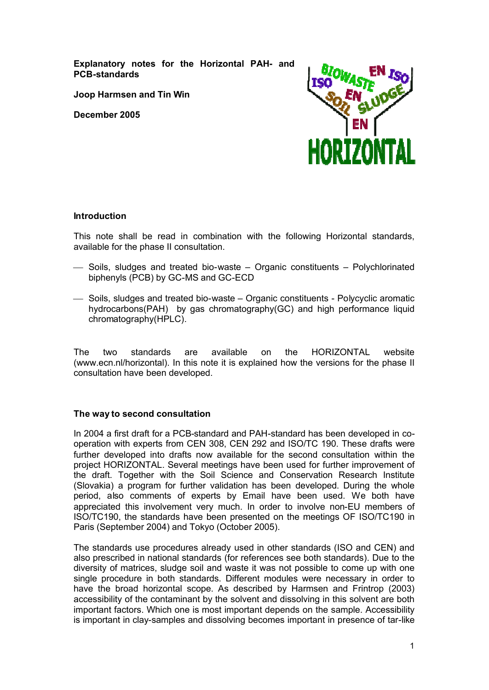**Explanatory notes for the Horizontal PAH- and PCB-standards**

**Joop Harmsen and Tin Win**

**December 2005**



## **Introduction**

This note shall be read in combination with the following Horizontal standards, available for the phase II consultation.

- ¾ Soils, sludges and treated bio-waste Organic constituents Polychlorinated biphenyls (PCB) by GC-MS and GC-ECD
- $\sim$  Soils, sludges and treated bio-waste Organic constituents Polycyclic aromatic hydrocarbons(PAH) by gas chromatography(GC) and high performance liquid chromatography(HPLC).

The two standards are available on the HORIZONTAL website (www.ecn.nl/horizontal). In this note it is explained how the versions for the phase II consultation have been developed.

## **The way to second consultation**

In 2004 a first draft for a PCB-standard and PAH-standard has been developed in cooperation with experts from CEN 308, CEN 292 and ISO/TC 190. These drafts were further developed into drafts now available for the second consultation within the project HORIZONTAL. Several meetings have been used for further improvement of the draft. Together with the Soil Science and Conservation Research Institute (Slovakia) a program for further validation has been developed. During the whole period, also comments of experts by Email have been used. We both have appreciated this involvement very much. In order to involve non-EU members of ISO/TC190, the standards have been presented on the meetings OF ISO/TC190 in Paris (September 2004) and Tokyo (October 2005).

The standards use procedures already used in other standards (ISO and CEN) and also prescribed in national standards (for references see both standards). Due to the diversity of matrices, sludge soil and waste it was not possible to come up with one single procedure in both standards. Different modules were necessary in order to have the broad horizontal scope. As described by Harmsen and Frintrop (2003) accessibility of the contaminant by the solvent and dissolving in this solvent are both important factors. Which one is most important depends on the sample. Accessibility is important in clay-samples and dissolving becomes important in presence of tar-like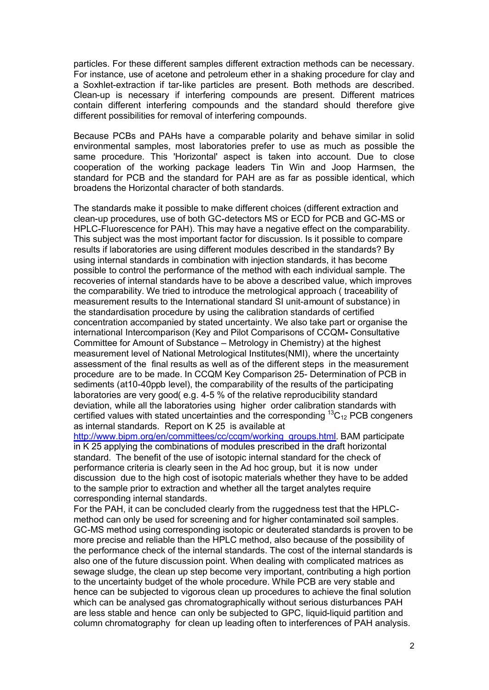particles. For these different samples different extraction methods can be necessary. For instance, use of acetone and petroleum ether in a shaking procedure for clay and a Soxhlet-extraction if tar-like particles are present. Both methods are described. Clean-up is necessary if interfering compounds are present. Different matrices contain different interfering compounds and the standard should therefore give different possibilities for removal of interfering compounds.

Because PCBs and PAHs have a comparable polarity and behave similar in solid environmental samples, most laboratories prefer to use as much as possible the same procedure. This 'Horizontal' aspect is taken into account. Due to close cooperation of the working package leaders Tin Win and Joop Harmsen, the standard for PCB and the standard for PAH are as far as possible identical, which broadens the Horizontal character of both standards.

The standards make it possible to make different choices (different extraction and clean-up procedures, use of both GC-detectors MS or ECD for PCB and GC-MS or HPLC-Fluorescence for PAH). This may have a negative effect on the comparability. This subject was the most important factor for discussion. Is it possible to compare results if laboratories are using different modules described in the standards? By using internal standards in combination with injection standards, it has become possible to control the performance of the method with each individual sample. The recoveries of internal standards have to be above a described value, which improves the comparability. We tried to introduce the metrological approach ( traceability of measurement results to the International standard SI unit-amount of substance) in the standardisation procedure by using the calibration standards of certified concentration accompanied by stated uncertainty. We also take part or organise the international Intercomparison (Key and Pilot Comparisons of CCQM**-** Consultative Committee for Amount of Substance – Metrology in Chemistry) at the highest measurement level of National Metrological Institutes(NMI), where the uncertainty assessment of the final results as well as of the different steps in the measurement procedure are to be made. In CCQM Key Comparison 25- Determination of PCB in sediments (at10-40ppb level), the comparability of the results of the participating laboratories are very good( e.g. 4-5 % of the relative reproducibility standard deviation, while all the laboratories using higher order calibration standards with certified values with stated uncertainties and the corresponding  ${}^{13}C_{12}$  PCB congeners as internal standards. Report on K 25 is available at

[http://www.bipm.org/en/committees/cc/ccqm/working\\_groups.html.](http://www.bipm.org/en/committees/cc/ccqm/working_groups.html) BAM participate in K 25 applying the combinations of modules prescribed in the draft horizontal standard. The benefit of the use of isotopic internal standard for the check of performance criteria is clearly seen in the Ad hoc group, but it is now under discussion due to the high cost of isotopic materials whether they have to be added to the sample prior to extraction and whether all the target analytes require corresponding internal standards.

For the PAH, it can be concluded clearly from the ruggedness test that the HPLCmethod can only be used for screening and for higher contaminated soil samples. GC-MS method using corresponding isotopic or deuterated standards is proven to be more precise and reliable than the HPLC method, also because of the possibility of the performance check of the internal standards. The cost of the internal standards is also one of the future discussion point. When dealing with complicated matrices as sewage sludge, the clean up step become very important, contributing a high portion to the uncertainty budget of the whole procedure. While PCB are very stable and hence can be subjected to vigorous clean up procedures to achieve the final solution which can be analysed gas chromatographically without serious disturbances PAH are less stable and hence can only be subjected to GPC, liquid-liquid partition and column chromatography for clean up leading often to interferences of PAH analysis.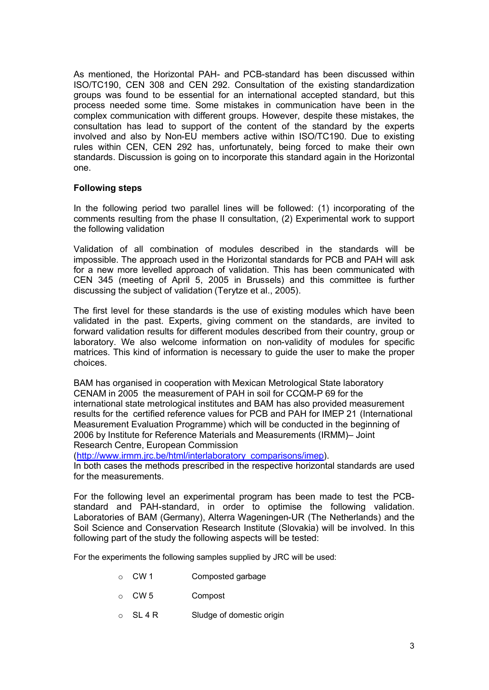As mentioned, the Horizontal PAH- and PCB-standard has been discussed within ISO/TC190, CEN 308 and CEN 292. Consultation of the existing standardization groups was found to be essential for an international accepted standard, but this process needed some time. Some mistakes in communication have been in the complex communication with different groups. However, despite these mistakes, the consultation has lead to support of the content of the standard by the experts involved and also by Non-EU members active within ISO/TC190. Due to existing rules within CEN, CEN 292 has, unfortunately, being forced to make their own standards. Discussion is going on to incorporate this standard again in the Horizontal one.

## **Following steps**

In the following period two parallel lines will be followed: (1) incorporating of the comments resulting from the phase II consultation, (2) Experimental work to support the following validation

Validation of all combination of modules described in the standards will be impossible. The approach used in the Horizontal standards for PCB and PAH will ask for a new more levelled approach of validation. This has been communicated with CEN 345 (meeting of April 5, 2005 in Brussels) and this committee is further discussing the subject of validation (Terytze et al., 2005).

The first level for these standards is the use of existing modules which have been validated in the past. Experts, giving comment on the standards, are invited to forward validation results for different modules described from their country, group or laboratory. We also welcome information on non-validity of modules for specific matrices. This kind of information is necessary to guide the user to make the proper choices.

BAM has organised in cooperation with Mexican Metrological State laboratory CENAM in 2005 the measurement of PAH in soil for CCQM-P 69 for the international state metrological institutes and BAM has also provided measurement results for the certified reference values for PCB and PAH for IMEP 21 (International Measurement Evaluation Programme) which will be conducted in the beginning of 2006 by Institute for Reference Materials and Measurements (IRMM)– Joint Research Centre, European Commission

[\(http://www.irmm.jrc.be/html/interlaboratory\\_comparisons/imep\)](http://www.irmm.jrc.be/html/interlaboratory_comparisons/imep).

In both cases the methods prescribed in the respective horizontal standards are used for the measurements.

For the following level an experimental program has been made to test the PCBstandard and PAH-standard, in order to optimise the following validation. Laboratories of BAM (Germany), Alterra Wageningen-UR (The Netherlands) and the Soil Science and Conservation Research Institute (Slovakia) will be involved. In this following part of the study the following aspects will be tested:

For the experiments the following samples supplied by JRC will be used:

- o CW 1 Composted garbage
- o CW 5 Compost
- o SL 4 R Sludge of domestic origin